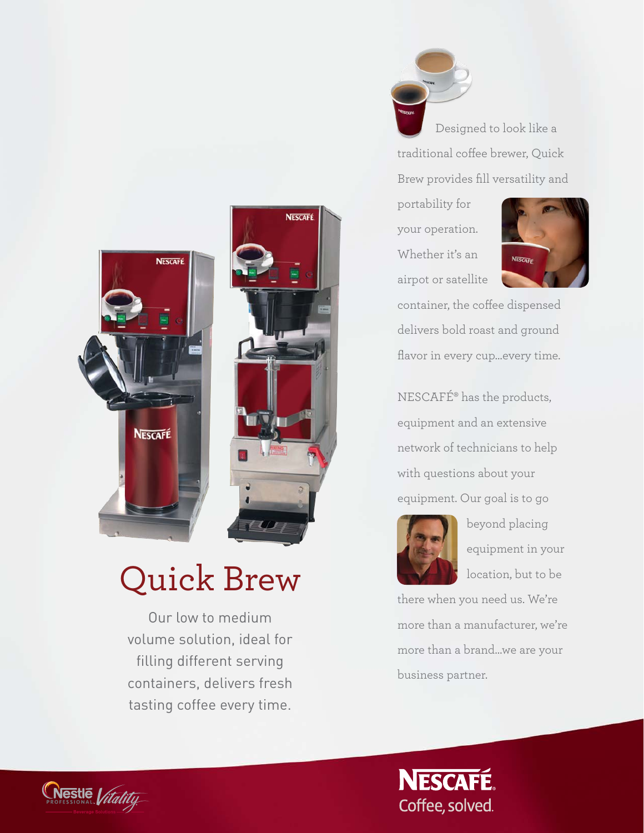

Designed to look like a traditional coffee brewer, Quick Brew provides fill versatility and

portability for your operation. Whether it's an airpot or satellite

**NESCAFÉ** 



container, the coffee dispensed delivers bold roast and ground flavor in every cup…every time.

NESCAFÉ® has the products, equipment and an extensive network of technicians to help with questions about your equipment. Our goal is to go



beyond placing equipment in your location, but to be

there when you need us. We're more than a manufacturer, we're more than a brand…we are your business partner.





# Quick Brew

Our low to medium volume solution, ideal for filling different serving containers, delivers fresh tasting coffee every time.